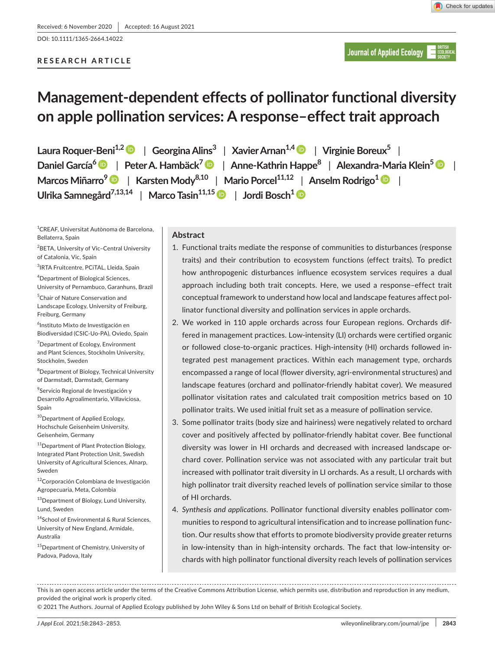DOI: 10.1111/1365-2664.14022

# **RESEARCH ARTICLE**

**Journal of Applied Ecology** 

# **Management-dependent effects of pollinator functional diversity on apple pollination services: A response–effect trait approach**

**Laura Roquer-Beni1,[2](https://orcid.org/0000-0001-8454-6745)** | **GeorginaAlins3** | **XavierArnan1,4** | **Virginie Boreux<sup>5</sup>** | **Daniel García[6](https://orcid.org/0000-0002-7334-7836)** | **Peter A. Hambäck[7](https://orcid.org/0000-0001-6362-6199)** | **Anne-Kathrin Happe8** | **Alexandra-Maria Klein[5](https://orcid.org/0000-0003-2139-8575)** | **Marcos Miñarro<sup>9</sup>** | **Karsten Mody8,10** | **Mario Porcel11,12** | **Anselm Rodrigo[1](https://orcid.org/0000-0001-6341-0363)** | **Ulrika Samnegård7,13,14** | **Marco Tasin11,15** | **Jordi Bosch[1](https://orcid.org/0000-0002-8088-9457)**

1 CREAF, Universitat Autònoma de Barcelona, Bellaterra, Spain

<sup>2</sup>BETA, University of Vic–Central University of Catalonia, Vic, Spain

3 IRTA Fruitcentre, PCiTAL, Lleida, Spain

4 Department of Biological Sciences, University of Pernambuco, Garanhuns, Brazil

5 Chair of Nature Conservation and Landscape Ecology, University of Freiburg, Freiburg, Germany

6 Instituto Mixto de Investigación en Biodiversidad (CSIC-Uo-PA), Oviedo, Spain

<sup>7</sup>Department of Ecology, Environment and Plant Sciences, Stockholm University, Stockholm, Sweden

8 Department of Biology, Technical University of Darmstadt, Darmstadt, Germany

9 Servicio Regional de Investigación y Desarrollo Agroalimentario, Villaviciosa, Spain

<sup>10</sup>Department of Applied Ecology, Hochschule Geisenheim University, Geisenheim, Germany

<sup>11</sup>Department of Plant Protection Biology, Integrated Plant Protection Unit, Swedish University of Agricultural Sciences, Alnarp, Sweden

<sup>12</sup>Corporación Colombiana de Investigación Agropecuaria, Meta, Colombia

13 Department of Biology, Lund University, Lund, Sweden

14School of Environmental & Rural Sciences, University of New England, Armidale, Australia

<sup>15</sup>Department of Chemistry, University of Padova, Padova, Italy

# **Abstract**

- 1. Functional traits mediate the response of communities to disturbances (response traits) and their contribution to ecosystem functions (effect traits). To predict how anthropogenic disturbances influence ecosystem services requires a dual approach including both trait concepts. Here, we used a response–effect trait conceptual framework to understand how local and landscape features affect pollinator functional diversity and pollination services in apple orchards.
- 2. We worked in 110 apple orchards across four European regions. Orchards differed in management practices. Low-intensity (LI) orchards were certified organic or followed close-to-organic practices. High-intensity (HI) orchards followed integrated pest management practices. Within each management type, orchards encompassed a range of local (flower diversity, agri-environmental structures) and landscape features (orchard and pollinator-friendly habitat cover). We measured pollinator visitation rates and calculated trait composition metrics based on 10 pollinator traits. We used initial fruit set as a measure of pollination service.
- 3. Some pollinator traits (body size and hairiness) were negatively related to orchard cover and positively affected by pollinator-friendly habitat cover. Bee functional diversity was lower in HI orchards and decreased with increased landscape orchard cover. Pollination service was not associated with any particular trait but increased with pollinator trait diversity in LI orchards. As a result, LI orchards with high pollinator trait diversity reached levels of pollination service similar to those of HI orchards.
- 4. *Synthesis and applications*. Pollinator functional diversity enables pollinator communities to respond to agricultural intensification and to increase pollination function. Our results show that efforts to promote biodiversity provide greater returns in low-intensity than in high-intensity orchards. The fact that low-intensity orchards with high pollinator functional diversity reach levels of pollination services

This is an open access article under the terms of the [Creative Commons Attribution](http://creativecommons.org/licenses/by/4.0/) License, which permits use, distribution and reproduction in any medium, provided the original work is properly cited.

© 2021 The Authors. Journal of Applied Ecology published by John Wiley & Sons Ltd on behalf of British Ecological Society.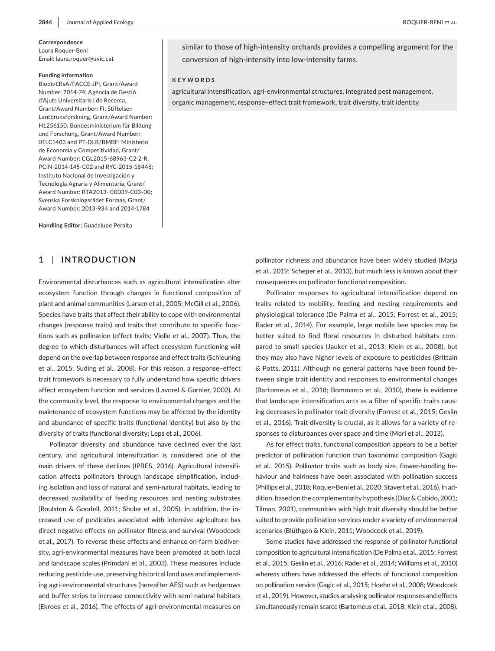# Laura Roquer-Beni

Email: [laura.roquer@uvic.cat](mailto:laura.roquer@uvic.cat)

#### **Funding information**

BiodivERsA/FACCE-JPI, Grant/Award Number: 2014-74; Agència de Gestió d'Ajuts Universitaris i de Recerca, Grant/Award Number: FI; Stiftelsen Lantbruksforskning, Grant/Award Number: H1256150; Bundesministerium für Bildung und Forschung, Grant/Award Number: 01LC1403 and PT-DLR/BMBF; Ministerio de Economía y Competitividad, Grant/ Award Number: CGL2015-68963-C2-2-R, PCIN-2014-145-C02 and RYC-2015-18448; Instituto Nacional de Investigación y Tecnología Agraria y Alimentaria, Grant/ Award Number: RTA2013- 00039-C03-00; Svenska Forskningsrådet Formas, Grant/ Award Number: 2013-934 and 2014-1784

**Handling Editor:** Guadalupe Peralta

# **1** | **INTRODUCTION**

Environmental disturbances such as agricultural intensification alter ecosystem function through changes in functional composition of plant and animal communities (Larsen et al., 2005; McGill et al., 2006). Species have traits that affect their ability to cope with environmental changes (response traits) and traits that contribute to specific functions such as pollination (effect traits; Violle et al., 2007). Thus, the degree to which disturbances will affect ecosystem functioning will depend on the overlap between response and effect traits (Schleuning et al., 2015; Suding et al., 2008). For this reason, a response–effect trait framework is necessary to fully understand how specific drivers affect ecosystem function and services (Lavorel & Garnier, 2002). At the community level, the response to environmental changes and the maintenance of ecosystem functions may be affected by the identity and abundance of specific traits (functional identity) but also by the diversity of traits (functional diversity; Leps et al., 2006).

Pollinator diversity and abundance have declined over the last century, and agricultural intensification is considered one of the main drivers of these declines (IPBES, 2016). Agricultural intensification affects pollinators through landscape simplification, including isolation and loss of natural and semi-natural habitats, leading to decreased availability of feeding resources and nesting substrates (Roulston & Goodell, 2011; Shuler et al., 2005). In addition, the increased use of pesticides associated with intensive agriculture has direct negative effects on pollinator fitness and survival (Woodcock et al., 2017). To reverse these effects and enhance on-farm biodiversity, agri-environmental measures have been promoted at both local and landscape scales (Primdahl et al., 2003). These measures include reducing pesticide use, preserving historical land uses and implementing agri-environmental structures (hereafter AES) such as hedgerows and buffer strips to increase connectivity with semi-natural habitats (Ekroos et al., 2016). The effects of agri-environmental measures on

similar to those of high-intensity orchards provides a compelling argument for the conversion of high-intensity into low-intensity farms.

#### **KEYWORDS**

agricultural intensification, agri-environmental structures, integrated pest management, organic management, response–effect trait framework, trait diversity, trait identity

> pollinator richness and abundance have been widely studied (Marja et al., 2019; Scheper et al., 2013), but much less is known about their consequences on pollinator functional composition.

> Pollinator responses to agricultural intensification depend on traits related to mobility, feeding and nesting requirements and physiological tolerance (De Palma et al., 2015; Forrest et al., 2015; Rader et al., 2014). For example, large mobile bee species may be better suited to find floral resources in disturbed habitats compared to small species (Jauker et al., 2013; Klein et al., 2008), but they may also have higher levels of exposure to pesticides (Brittain & Potts, 2011). Although no general patterns have been found between single trait identity and responses to environmental changes (Bartomeus et al., 2018; Bommarco et al., 2010), there is evidence that landscape intensification acts as a filter of specific traits causing decreases in pollinator trait diversity (Forrest et al., 2015; Geslin et al., 2016). Trait diversity is crucial, as it allows for a variety of responses to disturbances over space and time (Mori et al., 2013).

> As for effect traits, functional composition appears to be a better predictor of pollination function than taxonomic composition (Gagic et al., 2015). Pollinator traits such as body size, flower-handling behaviour and hairiness have been associated with pollination success (Phillips et al., 2018; Roquer-Beni et al., 2020; Stavert et al., 2016). In addition, based on the complementarity hypothesis (Díaz & Cabido, 2001; Tilman, 2001), communities with high trait diversity should be better suited to provide pollination services under a variety of environmental scenarios (Blüthgen & Klein, 2011; Woodcock et al., 2019).

> Some studies have addressed the response of pollinator functional composition to agricultural intensification (De Palma et al., 2015; Forrest et al., 2015; Geslin et al., 2016; Rader et al., 2014; Williams et al., 2010) whereas others have addressed the effects of functional composition on pollination service (Gagic et al., 2015; Hoehn et al., 2008; Woodcock et al., 2019). However, studies analysing pollinator responses and effects simultaneously remain scarce (Bartomeus et al., 2018; Klein et al., 2008).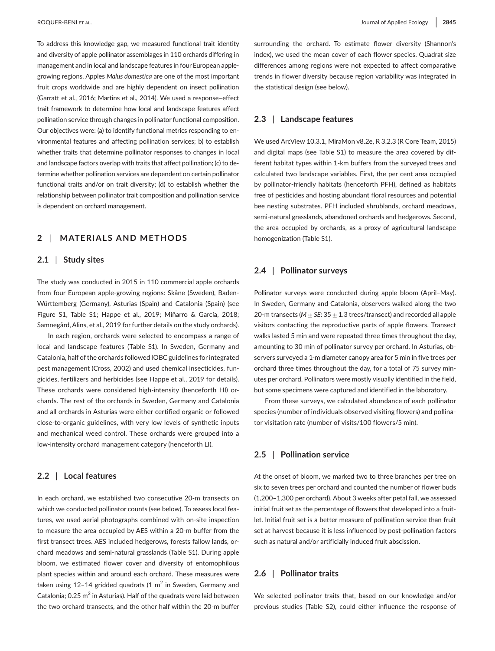To address this knowledge gap, we measured functional trait identity and diversity of apple pollinator assemblages in 110 orchards differing in management and in local and landscape features in four European applegrowing regions. Apples *Malus domestica* are one of the most important fruit crops worldwide and are highly dependent on insect pollination (Garratt et al., 2016; Martins et al., 2014). We used a response–effect trait framework to determine how local and landscape features affect pollination service through changes in pollinator functional composition. Our objectives were: (a) to identify functional metrics responding to environmental features and affecting pollination services; b) to establish whether traits that determine pollinator responses to changes in local and landscape factors overlap with traits that affect pollination; (c) to determine whether pollination services are dependent on certain pollinator functional traits and/or on trait diversity; (d) to establish whether the relationship between pollinator trait composition and pollination service is dependent on orchard management.

# **2** | **MATERIALS AND METHODS**

## **2.1** | **Study sites**

The study was conducted in 2015 in 110 commercial apple orchards from four European apple-growing regions: Skåne (Sweden), Baden-Württemberg (Germany), Asturias (Spain) and Catalonia (Spain) (see Figure S1, Table S1; Happe et al., 2019; Miñarro & García, 2018; Samnegård, Alins, et al., 2019 for further details on the study orchards).

In each region, orchards were selected to encompass a range of local and landscape features (Table S1). In Sweden, Germany and Catalonia, half of the orchards followed IOBC guidelines for integrated pest management (Cross, 2002) and used chemical insecticides, fungicides, fertilizers and herbicides (see Happe et al., 2019 for details). These orchards were considered high-intensity (henceforth HI) orchards. The rest of the orchards in Sweden, Germany and Catalonia and all orchards in Asturias were either certified organic or followed close-to-organic guidelines, with very low levels of synthetic inputs and mechanical weed control. These orchards were grouped into a low-intensity orchard management category (henceforth LI).

## **2.2** | **Local features**

In each orchard, we established two consecutive 20-m transects on which we conducted pollinator counts (see below). To assess local features, we used aerial photographs combined with on-site inspection to measure the area occupied by AES within a 20-m buffer from the first transect trees. AES included hedgerows, forests fallow lands, orchard meadows and semi-natural grasslands (Table S1). During apple bloom, we estimated flower cover and diversity of entomophilous plant species within and around each orchard. These measures were taken using 12–14 gridded quadrats (1  $\mathrm{m}^2$  in Sweden, Germany and Catalonia;  $0.25 \text{ m}^2$  in Asturias). Half of the quadrats were laid between the two orchard transects, and the other half within the 20-m buffer

surrounding the orchard. To estimate flower diversity (Shannon's index), we used the mean cover of each flower species. Quadrat size differences among regions were not expected to affect comparative trends in flower diversity because region variability was integrated in the statistical design (see below).

## **2.3** | **Landscape features**

We used ArcView 10.3.1, MiraMon v8.2e, R 3.2.3 (R Core Team, 2015) and digital maps (see Table S1) to measure the area covered by different habitat types within 1-km buffers from the surveyed trees and calculated two landscape variables. First, the per cent area occupied by pollinator-friendly habitats (henceforth PFH), defined as habitats free of pesticides and hosting abundant floral resources and potential bee nesting substrates. PFH included shrublands, orchard meadows, semi-natural grasslands, abandoned orchards and hedgerows. Second, the area occupied by orchards, as a proxy of agricultural landscape homogenization (Table S1).

## **2.4** | **Pollinator surveys**

Pollinator surveys were conducted during apple bloom (April–May). In Sweden, Germany and Catalonia, observers walked along the two 20-m transects ( $M \pm SE$ : 35  $\pm$  1.3 trees/transect) and recorded all apple visitors contacting the reproductive parts of apple flowers. Transect walks lasted 5 min and were repeated three times throughout the day, amounting to 30 min of pollinator survey per orchard. In Asturias, observers surveyed a 1-m diameter canopy area for 5 min in five trees per orchard three times throughout the day, for a total of 75 survey minutes per orchard. Pollinators were mostly visually identified in the field, but some specimens were captured and identified in the laboratory.

From these surveys, we calculated abundance of each pollinator species (number of individuals observed visiting flowers) and pollinator visitation rate (number of visits/100 flowers/5 min).

## **2.5** | **Pollination service**

At the onset of bloom, we marked two to three branches per tree on six to seven trees per orchard and counted the number of flower buds (1,200–1,300 per orchard). About 3 weeks after petal fall, we assessed initial fruit set as the percentage of flowers that developed into a fruitlet. Initial fruit set is a better measure of pollination service than fruit set at harvest because it is less influenced by post-pollination factors such as natural and/or artificially induced fruit abscission.

## **2.6** | **Pollinator traits**

We selected pollinator traits that, based on our knowledge and/or previous studies (Table S2), could either influence the response of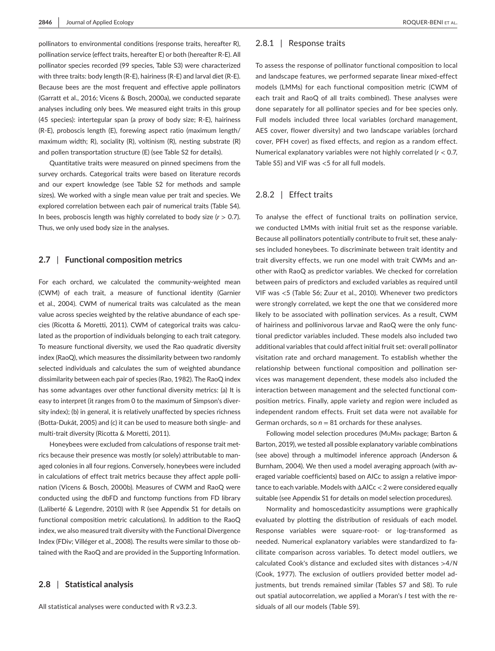pollinators to environmental conditions (response traits, hereafter R), pollination service (effect traits, hereafter E) or both (hereafter R-E). All pollinator species recorded (99 species, Table S3) were characterized with three traits: body length (R-E), hairiness (R-E) and larval diet (R-E). Because bees are the most frequent and effective apple pollinators (Garratt et al., 2016; Vicens & Bosch, 2000a), we conducted separate analyses including only bees. We measured eight traits in this group (45 species): intertegular span (a proxy of body size; R-E), hairiness (R-E), proboscis length (E), forewing aspect ratio (maximum length/ maximum width; R), sociality (R), voltinism (R), nesting substrate (R) and pollen transportation structure (E) (see Table S2 for details).

Quantitative traits were measured on pinned specimens from the survey orchards. Categorical traits were based on literature records and our expert knowledge (see Table S2 for methods and sample sizes). We worked with a single mean value per trait and species. We explored correlation between each pair of numerical traits (Table S4). In bees, proboscis length was highly correlated to body size  $(r > 0.7)$ . Thus, we only used body size in the analyses.

## **2.7** | **Functional composition metrics**

For each orchard, we calculated the community-weighted mean (CWM) of each trait, a measure of functional identity (Garnier et al., 2004). CWM of numerical traits was calculated as the mean value across species weighted by the relative abundance of each species (Ricotta & Moretti, 2011). CWM of categorical traits was calculated as the proportion of individuals belonging to each trait category. To measure functional diversity, we used the Rao quadratic diversity index (RaoQ), which measures the dissimilarity between two randomly selected individuals and calculates the sum of weighted abundance dissimilarity between each pair of species (Rao, 1982). The RaoQ index has some advantages over other functional diversity metrics: (a) It is easy to interpret (it ranges from 0 to the maximum of Simpson's diversity index); (b) in general, it is relatively unaffected by species richness (Botta-Dukát, 2005) and (c) it can be used to measure both single- and multi-trait diversity (Ricotta & Moretti, 2011).

Honeybees were excluded from calculations of response trait metrics because their presence was mostly (or solely) attributable to managed colonies in all four regions. Conversely, honeybees were included in calculations of effect trait metrics because they affect apple pollination (Vicens & Bosch, 2000b). Measures of CWM and RaoQ were conducted using the dbFD and functomp functions from FD library (Laliberté & Legendre, 2010) with R (see Appendix S1 for details on functional composition metric calculations). In addition to the RaoQ index, we also measured trait diversity with the Functional Divergence Index (FDiv; Villéger et al., 2008). The results were similar to those obtained with the RaoQ and are provided in the Supporting Information.

## **2.8** | **Statistical analysis**

All statistical analyses were conducted with R v3.2.3.

## 2.8.1 | Response traits

To assess the response of pollinator functional composition to local and landscape features, we performed separate linear mixed-effect models (LMMs) for each functional composition metric (CWM of each trait and RaoQ of all traits combined). These analyses were done separately for all pollinator species and for bee species only. Full models included three local variables (orchard management, AES cover, flower diversity) and two landscape variables (orchard cover, PFH cover) as fixed effects, and region as a random effect. Numerical explanatory variables were not highly correlated (*r* < 0.7, Table S5) and VIF was <5 for all full models.

## 2.8.2 | Effect traits

To analyse the effect of functional traits on pollination service, we conducted LMMs with initial fruit set as the response variable. Because all pollinators potentially contribute to fruit set, these analyses included honeybees. To discriminate between trait identity and trait diversity effects, we run one model with trait CWMs and another with RaoQ as predictor variables. We checked for correlation between pairs of predictors and excluded variables as required until VIF was <5 (Table S6; Zuur et al., 2010). Whenever two predictors were strongly correlated, we kept the one that we considered more likely to be associated with pollination services. As a result, CWM of hairiness and pollinivorous larvae and RaoQ were the only functional predictor variables included. These models also included two additional variables that could affect initial fruit set: overall pollinator visitation rate and orchard management. To establish whether the relationship between functional composition and pollination services was management dependent, these models also included the interaction between management and the selected functional composition metrics. Finally, apple variety and region were included as independent random effects. Fruit set data were not available for German orchards, so  $n = 81$  orchards for these analyses.

Following model selection procedures (MuMin package; Barton & Barton, 2019), we tested all possible explanatory variable combinations (see above) through a multimodel inference approach (Anderson & Burnham, 2004). We then used a model averaging approach (with averaged variable coefficients) based on AICc to assign a relative importance to each variable. Models with ΔAICc < 2 were considered equally suitable (see Appendix S1 for details on model selection procedures).

Normality and homoscedasticity assumptions were graphically evaluated by plotting the distribution of residuals of each model. Response variables were square-root- or log-transformed as needed. Numerical explanatory variables were standardized to facilitate comparison across variables. To detect model outliers, we calculated Cook's distance and excluded sites with distances >4/*N* (Cook, 1977). The exclusion of outliers provided better model adjustments, but trends remained similar (Tables S7 and S8). To rule out spatial autocorrelation, we applied a Moran's *I* test with the residuals of all our models (Table S9).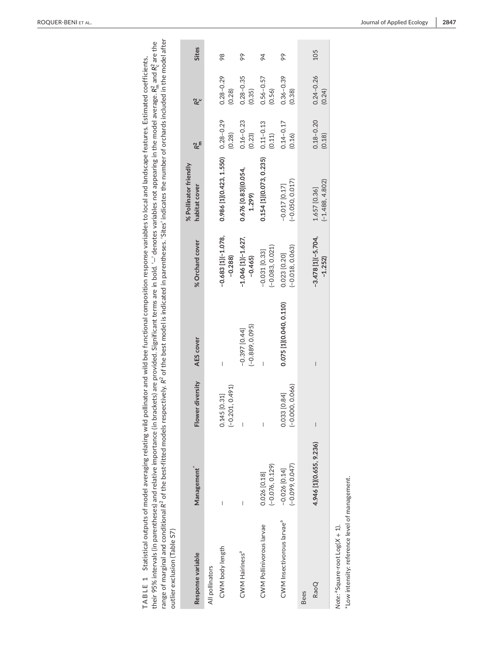| range of marginal and conditional R <sup>2</sup> of the best-fitted models respectively. R <sup>2</sup> of the best model is indicated in parentheses. 'Sites' indicates the number of orchards included in the model after<br>their 95% intervals (in parentheses) and relative importance (in brackets) are provided. Significant terms are in bold. '—' denotes variables not appearing in the model average. R <sub>in</sub> and R <sup>2</sup> are the<br>TABLE 1 Statistical outputs of model averaging relating wild pollinator and wild bee functional composition response variables to local and landscape features. Estimated coefficients,<br>outlier exclusion (Table S7) |                                        |                                      |                                      |                                      |                                        |                         |                         |              |
|----------------------------------------------------------------------------------------------------------------------------------------------------------------------------------------------------------------------------------------------------------------------------------------------------------------------------------------------------------------------------------------------------------------------------------------------------------------------------------------------------------------------------------------------------------------------------------------------------------------------------------------------------------------------------------------|----------------------------------------|--------------------------------------|--------------------------------------|--------------------------------------|----------------------------------------|-------------------------|-------------------------|--------------|
| Response variable                                                                                                                                                                                                                                                                                                                                                                                                                                                                                                                                                                                                                                                                      | Management                             | Flower diversity                     | AES cover                            | % Orchard cover                      | % Pollinator friendly<br>habitat cover | R <sup>2</sup>          | $R_c^2$                 | <b>Sites</b> |
| All pollinators                                                                                                                                                                                                                                                                                                                                                                                                                                                                                                                                                                                                                                                                        |                                        |                                      |                                      |                                      |                                        |                         |                         |              |
| CWM body length                                                                                                                                                                                                                                                                                                                                                                                                                                                                                                                                                                                                                                                                        |                                        | $(-0.201, 0.491)$<br>[0.31]<br>0.145 |                                      | $-0.683$ [1] $(-1.078,$<br>$-0.288$  | 0.986 [1](0.423, 1.550)                | $0.28 - 0.29$<br>(0.28) | $0.28 - 0.29$<br>(0.28) | 98           |
| CWM Hairiness <sup>a</sup>                                                                                                                                                                                                                                                                                                                                                                                                                                                                                                                                                                                                                                                             |                                        |                                      | $(-0.889, 0.095)$<br>$-0.397$ [0.44] | $-1.046$ [1]( $-1.627$ ,<br>$-0.465$ | 0.676 [0.83](0.054,<br>1.299           | $0.16 - 0.23$<br>(0.23) | $0.28 - 0.35$<br>(0.35) | 99           |
| CWM Pollinivorous larvae                                                                                                                                                                                                                                                                                                                                                                                                                                                                                                                                                                                                                                                               | $(-0.076, 0.129)$<br>0.026 [0.18]      |                                      |                                      | $(-0.083, 0.021)$<br>$-0.031$ [0.33] | 0.154 [1] (0.073, 0.235)               | $0.11 - 0.13$<br>(0.11) | $0.56 - 0.57$<br>(0.56) | 94           |
| CWM Insectivorous larvae <sup>ª</sup>                                                                                                                                                                                                                                                                                                                                                                                                                                                                                                                                                                                                                                                  | $(-0.099, 0.047)$<br>$-0.026$ $[0.14]$ | $(-0.000, 0.066)$<br>0.033 [0.84]    | 0.075 [1](0.040, 0.110)              | $(-0.018, 0.063)$<br>0.023 [0.20]    | $(-0.050, 0.017)$<br>$-0.017$ [0.17]   | $0.14 - 0.17$<br>(0.16) | $0.36 - 0.39$<br>(0.38) | 99           |
| RaoQ<br><b>Bees</b>                                                                                                                                                                                                                                                                                                                                                                                                                                                                                                                                                                                                                                                                    | 4.946 [1](0.655, 9.236)                | $\overline{\phantom{a}}$             |                                      | $-3.478$ [1] $(-5.704,$<br>$-1.252$  | $(-1.488, 4.802)$<br>1.657 [0.36]      | $0.18 - 0.20$<br>(0.18) | $0.24 - 0.26$<br>(0.24) | 105          |
| *Low intensity: reference level of management.<br>Note: a Square-root Log(X + 1).                                                                                                                                                                                                                                                                                                                                                                                                                                                                                                                                                                                                      |                                        |                                      |                                      |                                      |                                        |                         |                         |              |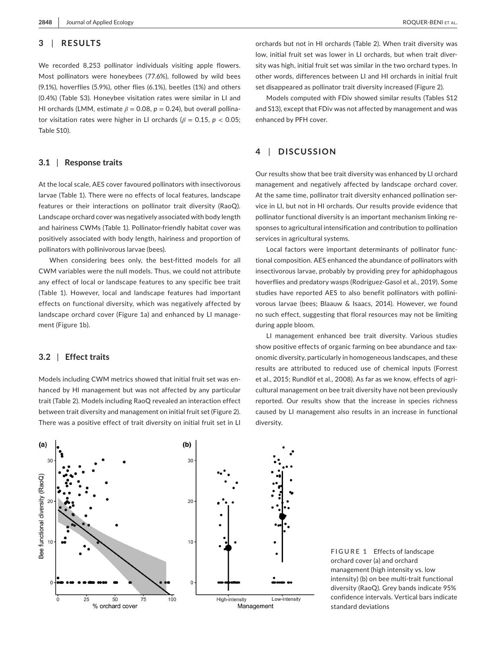## **3** | **RESULTS**

We recorded 8,253 pollinator individuals visiting apple flowers. Most pollinators were honeybees (77.6%), followed by wild bees (9.1%), hoverflies (5.9%), other flies (6.1%), beetles (1%) and others (0.4%) (Table S3). Honeybee visitation rates were similar in LI and HI orchards (LMM, estimate  $\beta$  = 0.08,  $p$  = 0.24), but overall pollinator visitation rates were higher in LI orchards ( $\beta$  = 0.15,  $p$  < 0.05; Table S10).

## **3.1** | **Response traits**

At the local scale, AES cover favoured pollinators with insectivorous larvae (Table 1). There were no effects of local features, landscape features or their interactions on pollinator trait diversity (RaoQ). Landscape orchard cover was negatively associated with body length and hairiness CWMs (Table 1). Pollinator-friendly habitat cover was positively associated with body length, hairiness and proportion of pollinators with pollinivorous larvae (bees).

When considering bees only, the best-fitted models for all CWM variables were the null models. Thus, we could not attribute any effect of local or landscape features to any specific bee trait (Table 1). However, local and landscape features had important effects on functional diversity, which was negatively affected by landscape orchard cover (Figure 1a) and enhanced by LI management (Figure 1b).

## **3.2** | **Effect traits**

Models including CWM metrics showed that initial fruit set was enhanced by HI management but was not affected by any particular trait (Table 2). Models including RaoQ revealed an interaction effect between trait diversity and management on initial fruit set (Figure 2). There was a positive effect of trait diversity on initial fruit set in LI

orchards but not in HI orchards (Table 2). When trait diversity was low, initial fruit set was lower in LI orchards, but when trait diversity was high, initial fruit set was similar in the two orchard types. In other words, differences between LI and HI orchards in initial fruit set disappeared as pollinator trait diversity increased (Figure 2).

Models computed with FDiv showed similar results (Tables S12 and S13), except that FDiv was not affected by management and was enhanced by PFH cover.

## **4** | **DISCUSSION**

Our results show that bee trait diversity was enhanced by LI orchard management and negatively affected by landscape orchard cover. At the same time, pollinator trait diversity enhanced pollination service in LI, but not in HI orchards. Our results provide evidence that pollinator functional diversity is an important mechanism linking responses to agricultural intensification and contribution to pollination services in agricultural systems.

Local factors were important determinants of pollinator functional composition. AES enhanced the abundance of pollinators with insectivorous larvae, probably by providing prey for aphidophagous hoverflies and predatory wasps (Rodríguez-Gasol et al., 2019). Some studies have reported AES to also benefit pollinators with pollinivorous larvae (bees; Blaauw & Isaacs, 2014). However, we found no such effect, suggesting that floral resources may not be limiting during apple bloom.

LI management enhanced bee trait diversity. Various studies show positive effects of organic farming on bee abundance and taxonomic diversity, particularly in homogeneous landscapes, and these results are attributed to reduced use of chemical inputs (Forrest et al., 2015; Rundlöf et al., 2008). As far as we know, effects of agricultural management on bee trait diversity have not been previously reported. Our results show that the increase in species richness caused by LI management also results in an increase in functional diversity.



**FIGURE 1** Effects of landscape orchard cover (a) and orchard management (high intensity vs. low intensity) (b) on bee multi-trait functional diversity (RaoQ). Grey bands indicate 95% confidence intervals. Vertical bars indicate standard deviations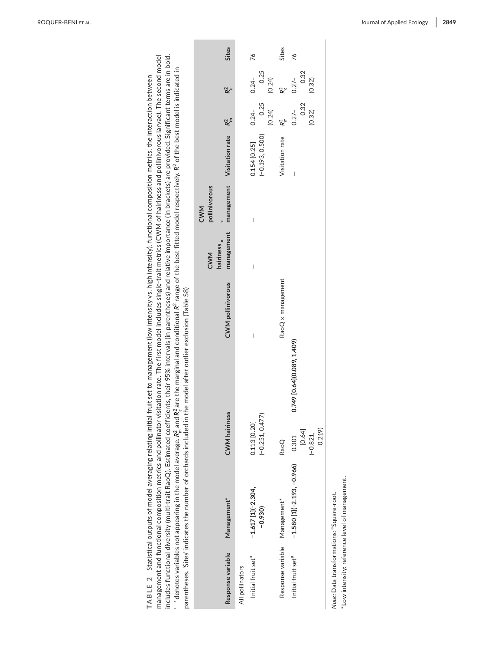|                                                       | includes functional diversity (multi-trait RaoQ). Estimated coeff<br>parentheses. 'Sites' indicates the number of orchards included |                                   | ficients, their 95% intervals (in parentheses) and relative importance (in brackets) are provided. Significant terms are in bold.<br>management and functional composition metrics and pollinator visitation rate. The first model includes single-trait metrics (CWM of hairiness and pollinivorous larvae). The second model<br>$-$ denotes variables not appearing in the model average. $R_n^2$ and $R_n^2$ are the marginal and conditional $R^2$ range of the best-fitted model respectively. $R^2$ of the best model is indicated in<br>TABLE 2 Statistical outputs of model averaging relating initial fruit set to management (low intensity vs. high intensity), functional composition metrics, the interaction between<br>in the model after outlier exclusion (Table S8) |                                             |                                    |                                   |                            |                            |       |
|-------------------------------------------------------|-------------------------------------------------------------------------------------------------------------------------------------|-----------------------------------|---------------------------------------------------------------------------------------------------------------------------------------------------------------------------------------------------------------------------------------------------------------------------------------------------------------------------------------------------------------------------------------------------------------------------------------------------------------------------------------------------------------------------------------------------------------------------------------------------------------------------------------------------------------------------------------------------------------------------------------------------------------------------------------|---------------------------------------------|------------------------------------|-----------------------------------|----------------------------|----------------------------|-------|
| Response variable                                     | Management <sup>*</sup>                                                                                                             | <b>CWM</b> hairiness              | <b>CWM</b> pollinivorous                                                                                                                                                                                                                                                                                                                                                                                                                                                                                                                                                                                                                                                                                                                                                              | management<br>hairiness <sub>x</sub><br>CWM | management<br>pollinivorous<br>CWM | Visitation rate                   | $R2$ m                     | R <sup>2</sup>             | Sites |
| All pollinators                                       |                                                                                                                                     |                                   |                                                                                                                                                                                                                                                                                                                                                                                                                                                                                                                                                                                                                                                                                                                                                                                       |                                             |                                    |                                   |                            |                            |       |
| Initial fruit set <sup>a</sup>                        | $-1.617$ [1] $(-2.304,$<br>$-0.930$                                                                                                 | $(-0.251, 0.477)$<br>0.113 [0.20] |                                                                                                                                                                                                                                                                                                                                                                                                                                                                                                                                                                                                                                                                                                                                                                                       |                                             | I                                  | $(-0.193, 0.500)$<br>0.154 [0.25] | (0.24)<br>0.25<br>$0.24 -$ | 0.25<br>$0.24 -$<br>(0.24) | 76    |
| Response variable                                     | Management*                                                                                                                         | RaoQ                              | RaoQ x management                                                                                                                                                                                                                                                                                                                                                                                                                                                                                                                                                                                                                                                                                                                                                                     |                                             |                                    | Visitation rate                   | R <sup>2</sup>             | R <sup>2</sup>             | Sites |
| Initial fruit set <sup>a</sup>                        | $-1.580$ [1] $(-2.193, -0.966)$                                                                                                     | $-0.301$                          | 0.749 [0.64] (0.089, 1.409)                                                                                                                                                                                                                                                                                                                                                                                                                                                                                                                                                                                                                                                                                                                                                           |                                             |                                    | I                                 | $0.27 -$                   | $0.27 -$                   | 76    |
|                                                       |                                                                                                                                     | [0.64]<br>0.219<br>$(-0.821,$     |                                                                                                                                                                                                                                                                                                                                                                                                                                                                                                                                                                                                                                                                                                                                                                                       |                                             |                                    |                                   | 0.32<br>(0.32)             | 0.32<br>(0.32)             |       |
| Note: Data transformations: <sup>a</sup> Square-root. | *Low intensity: reference level of management.                                                                                      |                                   |                                                                                                                                                                                                                                                                                                                                                                                                                                                                                                                                                                                                                                                                                                                                                                                       |                                             |                                    |                                   |                            |                            |       |

**Contract Contract** 

Ì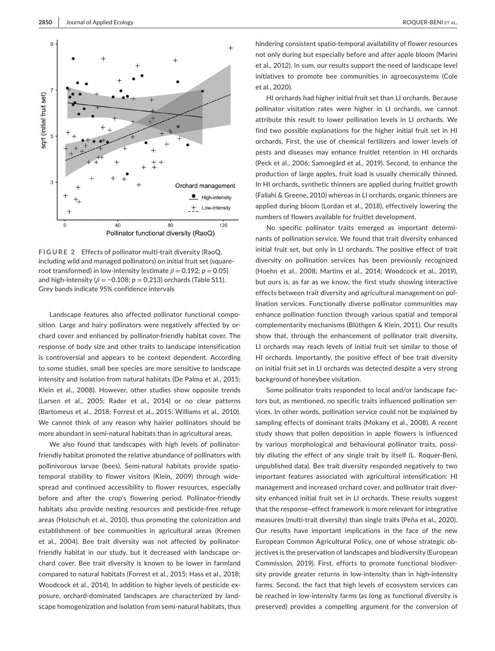

**FIGURE 2** Effects of pollinator multi-trait diversity (RaoQ, including wild and managed pollinators) on initial fruit set (squareroot transformed) in low-intensity (estimate  $\beta = 0.192$ ;  $p = 0.05$ ) and high-intensity ( $\beta$  = -0.108;  $p$  = 0.213) orchards (Table S11). Grey bands indicate 95% confidence intervals

Landscape features also affected pollinator functional composition. Large and hairy pollinators were negatively affected by orchard cover and enhanced by pollinator-friendly habitat cover. The response of body size and other traits to landscape intensification is controversial and appears to be context dependent. According to some studies, small bee species are more sensitive to landscape intensity and isolation from natural habitats (De Palma et al., 2015; Klein et al., 2008). However, other studies show opposite trends (Larsen et al., 2005; Rader et al., 2014) or no clear patterns (Bartomeus et al., 2018; Forrest et al., 2015; Williams et al., 2010). We cannot think of any reason why hairier pollinators should be more abundant in semi-natural habitats than in agricultural areas.

We also found that landscapes with high levels of pollinatorfriendly habitat promoted the relative abundance of pollinators with pollinivorous larvae (bees). Semi-natural habitats provide spatiotemporal stability to flower visitors (Klein, 2009) through widespread and continued accessibility to flower resources, especially before and after the crop's flowering period. Pollinator-friendly habitats also provide nesting resources and pesticide-free refuge areas (Holzschuh et al., 2010), thus promoting the colonization and establishment of bee communities in agricultural areas (Kremen et al., 2004). Bee trait diversity was not affected by pollinatorfriendly habitat in our study, but it decreased with landscape orchard cover. Bee trait diversity is known to be lower in farmland compared to natural habitats (Forrest et al., 2015; Hass et al., 2018; Woodcock et al., 2014). In addition to higher levels of pesticide exposure, orchard-dominated landscapes are characterized by landscape homogenization and isolation from semi-natural habitats, thus hindering consistent spatio-temporal availability of flower resources not only during but especially before and after apple bloom (Marini et al., 2012). In sum, our results support the need of landscape level initiatives to promote bee communities in agroecosystems (Cole et al., 2020).

HI orchards had higher initial fruit set than LI orchards. Because pollinator visitation rates were higher in LI orchards, we cannot attribute this result to lower pollination levels in LI orchards. We find two possible explanations for the higher initial fruit set in HI orchards. First, the use of chemical fertilizers and lower levels of pests and diseases may enhance fruitlet retention in HI orchards (Peck et al., 2006; Samnegård et al., 2019). Second, to enhance the production of large apples, fruit load is usually chemically thinned. In HI orchards, synthetic thinners are applied during fruitlet growth (Fallahi & Greene, 2010) whereas in LI orchards, organic thinners are applied during bloom (Lordan et al., 2018), effectively lowering the numbers of flowers available for fruitlet development.

No specific pollinator traits emerged as important determinants of pollination service. We found that trait diversity enhanced initial fruit set, but only in LI orchards. The positive effect of trait diversity on pollination services has been previously recognized (Hoehn et al., 2008; Martins et al., 2014; Woodcock et al., 2019), but ours is, as far as we know, the first study showing interactive effects between trait diversity and agricultural management on pollination services. Functionally diverse pollinator communities may enhance pollination function through various spatial and temporal complementarity mechanisms (Blüthgen & Klein, 2011). Our results show that, through the enhancement of pollinator trait diversity, LI orchards may reach levels of initial fruit set similar to those of HI orchards. Importantly, the positive effect of bee trait diversity on initial fruit set in LI orchards was detected despite a very strong background of honeybee visitation.

Some pollinator traits responded to local and/or landscape factors but, as mentioned, no specific traits influenced pollination services. In other words, pollination service could not be explained by sampling effects of dominant traits (Mokany et al., 2008). A recent study shows that pollen deposition in apple flowers is influenced by various morphological and behavioural pollinator traits, possibly diluting the effect of any single trait by itself (L. Roquer-Beni, unpublished data). Bee trait diversity responded negatively to two important features associated with agricultural intensification: HI management and increased orchard cover, and pollinator trait diversity enhanced initial fruit set in LI orchards. These results suggest that the response–effect framework is more relevant for integrative measures (multi-trait diversity) than single traits (Peña et al., 2020). Our results have important implications in the face of the new European Common Agricultural Policy, one of whose strategic objectives is the preservation of landscapes and biodiversity (European Commission, 2019). First, efforts to promote functional biodiversity provide greater returns in low-intensity than in high-intensity farms. Second, the fact that high levels of ecosystem services can be reached in low-intensity farms (as long as functional diversity is preserved) provides a compelling argument for the conversion of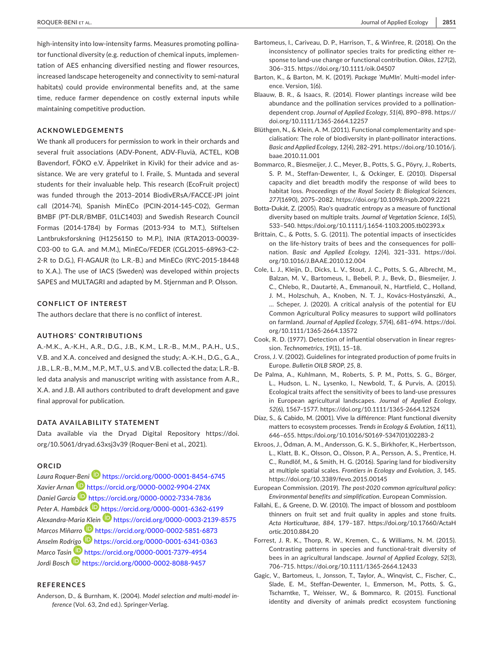high-intensity into low-intensity farms. Measures promoting pollinator functional diversity (e.g. reduction of chemical inputs, implementation of AES enhancing diversified nesting and flower resources, increased landscape heterogeneity and connectivity to semi-natural habitats) could provide environmental benefits and, at the same time, reduce farmer dependence on costly external inputs while maintaining competitive production.

## **ACKNOWLEDGEMENTS**

We thank all producers for permission to work in their orchards and several fruit associations (ADV-Ponent, ADV-Fluvià, ACTEL, KOB Bavendorf, FÖKO e.V. Äppelriket in Kivik) for their advice and assistance. We are very grateful to I. Fraile, S. Muntada and several students for their invaluable help. This research (EcoFruit project) was funded through the 2013–2014 BiodivERsA/FACCE-JPI joint call (2014-74), Spanish MinECo (PCIN-2014-145-C02), German BMBF (PT-DLR/BMBF, 01LC1403) and Swedish Research Council Formas (2014-1784) by Formas (2013-934 to M.T.), Stiftelsen Lantbruksforskning (H1256150 to M.P.), INIA (RTA2013-00039- C03-00 to G.A. and M.M.), MinECo/FEDER (CGL2015-68963-C2- 2-R to D.G.), FI-AGAUR (to L.R.-B.) and MinECo (RYC-2015-18448 to X.A.). The use of IACS (Sweden) was developed within projects SAPES and MULTAGRI and adapted by M. Stjernman and P. Olsson.

## **CONFLICT OF INTEREST**

The authors declare that there is no conflict of interest.

#### **AUTHORS' CONTRIBUTIONS**

A.-M.K., A.-K.H., A.R., D.G., J.B., K.M., L.R.-B., M.M., P.A.H., U.S., V.B. and X.A. conceived and designed the study; A.-K.H., D.G., G.A., J.B., L.R.-B., M.M., M.P., M.T., U.S. and V.B. collected the data; L.R.-B. led data analysis and manuscript writing with assistance from A.R., X.A. and J.B. All authors contributed to draft development and gave final approval for publication.

#### **DATA AVAILABILITY STATEMENT**

Data available via the Dryad Digital Repository [https://doi.](https://doi.org/10.5061/dryad.63xsj3v39) [org/10.5061/dryad.63xsj3v39](https://doi.org/10.5061/dryad.63xsj3v39) (Roquer-Beni et al., 2021).

#### **ORCID**

*Laura Roque[r-Ben](https://orcid.org/0000-0002-9904-274X)i* <https://orcid.org/0000-0001-8454-6745> *Xavier Arnan* <https://orcid.org/0000-0002-9904-274X> *Daniel García* <https://orcid.org/0000-0002-7334-7836> Peter A. Hambäck **b**<https://orcid.org/0000-0001-6362-6199> *Alexandra-Mari[a Kle](https://orcid.org/0000-0002-5851-6873)in* <https://orcid.org/0000-0003-2139-8575> *Marcos Miñarr[o](https://orcid.org/0000-0001-6341-0363)* <https://orcid.org/0000-0002-5851-6873> *Anselm Rod[rigo](https://orcid.org/0000-0001-7379-4954)* <https://orcid.org/0000-0001-6341-0363> *Marco Tasi[n](https://orcid.org/0000-0002-8088-9457)* <https://orcid.org/0000-0001-7379-4954> *Jordi Bosch* <https://orcid.org/0000-0002-8088-9457>

## **REFERENCES**

Anderson, D., & Burnham, K. (2004). *Model selection and multi-model inference* (Vol. 63, 2nd ed.). Springer-Verlag.

- Bartomeus, I., Cariveau, D. P., Harrison, T., & Winfree, R. (2018). On the inconsistency of pollinator species traits for predicting either response to land-use change or functional contribution. *Oikos*, *127*(2), 306–315.<https://doi.org/10.1111/oik.04507>
- Barton, K., & Barton, M. K. (2019). *Package 'MuMIn'*. Multi-model inference. Version, 1(6).
- Blaauw, B. R., & Isaacs, R. (2014). Flower plantings increase wild bee abundance and the pollination services provided to a pollinationdependent crop. *Journal of Applied Ecology*, *51*(4), 890–898. [https://](https://doi.org/10.1111/1365-2664.12257) [doi.org/10.1111/1365-2664.12257](https://doi.org/10.1111/1365-2664.12257)
- Blüthgen, N., & Klein, A. M. (2011). Functional complementarity and specialisation: The role of biodiversity in plant-pollinator interactions. *Basic and Applied Ecology*, *12*(4), 282–291. [https://doi.org/10.1016/j.](https://doi.org/10.1016/j.baae.2010.11.001) [baae.2010.11.001](https://doi.org/10.1016/j.baae.2010.11.001)
- Bommarco, R., Biesmeijer, J. C., Meyer, B., Potts, S. G., Pöyry, J., Roberts, S. P. M., Steffan-Dewenter, I., & Ockinger, E. (2010). Dispersal capacity and diet breadth modify the response of wild bees to habitat loss. *Proceedings of the Royal Society B: Biological Sciences*, *277*(1690), 2075–2082.<https://doi.org/10.1098/rspb.2009.2221>
- Botta-Dukát, Z. (2005). Rao's quadratic entropy as a measure of functional diversity based on multiple traits. *Journal of Vegetation Science*, *16*(5), 533–540. <https://doi.org/10.1111/j.1654-1103.2005.tb02393.x>
- Brittain, C., & Potts, S. G. (2011). The potential impacts of insecticides on the life-history traits of bees and the consequences for pollination. *Basic and Applied Ecology*, *12*(4), 321–331. [https://doi.](https://doi.org/10.1016/J.BAAE.2010.12.004) [org/10.1016/J.BAAE.2010.12.004](https://doi.org/10.1016/J.BAAE.2010.12.004)
- Cole, L. J., Kleijn, D., Dicks, L. V., Stout, J. C., Potts, S. G., Albrecht, M., Balzan, M. V., Bartomeus, I., Bebeli, P. J., Bevk, D., Biesmeijer, J. C., Chlebo, R., Dautartė, A., Emmanouil, N., Hartfield, C., Holland, J. M., Holzschuh, A., Knoben, N. T. J., Kovács-Hostyánszki, A., … Scheper, J. (2020). A critical analysis of the potential for EU Common Agricultural Policy measures to support wild pollinators on farmland. *Journal of Applied Ecology*, *57*(4), 681–694. [https://doi.](https://doi.org/10.1111/1365-2664.13572) [org/10.1111/1365-2664.13572](https://doi.org/10.1111/1365-2664.13572)
- Cook, R. D. (1977). Detection of influential observation in linear regression. *Technometrics*, *19*(1), 15–18.
- Cross, J. V. (2002). Guidelines for integrated production of pome fruits in Europe. *Bulletin OILB SROP*, *25*, 8.
- De Palma, A., Kuhlmann, M., Roberts, S. P. M., Potts, S. G., Börger, L., Hudson, L. N., Lysenko, I., Newbold, T., & Purvis, A. (2015). Ecological traits affect the sensitivity of bees to land-use pressures in European agricultural landscapes. *Journal of Applied Ecology*, *52*(6), 1567–1577.<https://doi.org/10.1111/1365-2664.12524>
- Díaz, S., & Cabido, M. (2001). Vive la différence: Plant functional diversity matters to ecosystem processes. *Trends in Ecology & Evolution*, *16*(11), 646–655. [https://doi.org/10.1016/S0169-5347\(01\)02283-2](https://doi.org/10.1016/S0169-5347(01)02283-2)
- Ekroos, J., Ödman, A. M., Andersson, G. K. S., Birkhofer, K., Herbertsson, L., Klatt, B. K., Olsson, O., Olsson, P. A., Persson, A. S., Prentice, H. C., Rundlöf, M., & Smith, H. G. (2016). Sparing land for biodiversity at multiple spatial scales. *Frontiers in Ecology and Evolution*, *3*, 145. <https://doi.org/10.3389/fevo.2015.00145>
- European Commission. (2019). *The post-2020 common agricultural policy: Environmental benefits and simplification*. European Commission.
- Fallahi, E., & Greene, D. W. (2010). The impact of blossom and postbloom thinners on fruit set and fruit quality in apples and stone fruits. *Acta Horticulturae*, *884*, 179–187. [https://doi.org/10.17660/ActaH](https://doi.org/10.17660/ActaHortic.2010.884.20) [ortic.2010.884.20](https://doi.org/10.17660/ActaHortic.2010.884.20)
- Forrest, J. R. K., Thorp, R. W., Kremen, C., & Williams, N. M. (2015). Contrasting patterns in species and functional-trait diversity of bees in an agricultural landscape. *Journal of Applied Ecology*, *52*(3), 706–715. <https://doi.org/10.1111/1365-2664.12433>
- Gagic, V., Bartomeus, I., Jonsson, T., Taylor, A., Winqvist, C., Fischer, C., Slade, E. M., Steffan-Dewenter, I., Emmerson, M., Potts, S. G., Tscharntke, T., Weisser, W., & Bommarco, R. (2015). Functional identity and diversity of animals predict ecosystem functioning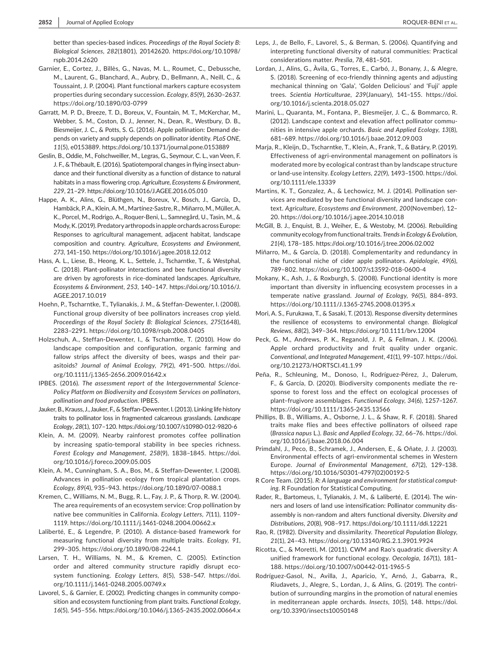better than species-based indices. *Proceedings of the Royal Society B: Biological Sciences*, *282*(1801), 20142620. [https://doi.org/10.1098/](https://doi.org/10.1098/rspb.2014.2620) [rspb.2014.2620](https://doi.org/10.1098/rspb.2014.2620)

- Garnier, E., Cortez, J., Billès, G., Navas, M. L., Roumet, C., Debussche, M., Laurent, G., Blanchard, A., Aubry, D., Bellmann, A., Neill, C., & Toussaint, J. P. (2004). Plant functional markers capture ecosystem properties during secondary succession. *Ecology*, *85*(9), 2630–2637. <https://doi.org/10.1890/03-0799>
- Garratt, M. P. D., Breeze, T. D., Boreux, V., Fountain, M. T., McKerchar, M., Webber, S. M., Coston, D. J., Jenner, N., Dean, R., Westbury, D. B., Biesmeijer, J. C., & Potts, S. G. (2016). Apple pollination: Demand depends on variety and supply depends on pollinator identity. *PLoS ONE*, *11*(5), e0153889. <https://doi.org/10.1371/journal.pone.0153889>
- Geslin, B., Oddie, M., Folschweiller, M., Legras, G., Seymour, C. L., van Veen, F. J. F., & Thébault, E. (2016). Spatiotemporal changes in flying insect abundance and their functional diversity as a function of distance to natural habitats in a mass flowering crop. *Agriculture, Ecosystems & Environment*, *229*, 21–29.<https://doi.org/10.1016/J.AGEE.2016.05.010>
- Happe, A. K., Alins, G., Blüthgen, N., Boreux, V., Bosch, J., García, D., Hambäck, P. A., Klein, A. M., Martínez-Sastre, R., Miñarro, M., Müller, A. K., Porcel, M., Rodrigo, A., Roquer-Beni, L., Samnegård, U., Tasin, M., & Mody, K. (2019). Predatory arthropods in apple orchards across Europe: Responses to agricultural management, adjacent habitat, landscape composition and country. *Agriculture, Ecosystems and Environment*, *273*, 141–150.<https://doi.org/10.1016/j.agee.2018.12.012>
- Hass, A. L., Liese, B., Heong, K. L., Settele, J., Tscharntke, T., & Westphal, C. (2018). Plant-pollinator interactions and bee functional diversity are driven by agroforests in rice-dominated landscapes. *Agriculture, Ecosystems & Environment*, *253*, 140–147. [https://doi.org/10.1016/J.](https://doi.org/10.1016/J.AGEE.2017.10.019) [AGEE.2017.10.019](https://doi.org/10.1016/J.AGEE.2017.10.019)
- Hoehn, P., Tscharntke, T., Tylianakis, J. M., & Steffan-Dewenter, I. (2008). Functional group diversity of bee pollinators increases crop yield. *Proceedings of the Royal Society B: Biological Sciences*, *275*(1648), 2283–2291.<https://doi.org/10.1098/rspb.2008.0405>
- Holzschuh, A., Steffan-Dewenter, I., & Tscharntke, T. (2010). How do landscape composition and configuration, organic farming and fallow strips affect the diversity of bees, wasps and their parasitoids? *Journal of Animal Ecology*, *79*(2), 491–500. [https://doi.](https://doi.org/10.1111/j.1365-2656.2009.01642.x) [org/10.1111/j.1365-2656.2009.01642.x](https://doi.org/10.1111/j.1365-2656.2009.01642.x)
- IPBES. (2016). *The assessment report of the Intergovernmental Science-Policy Platform on Biodiversity and Ecosystem Services on pollinators, pollination and food production*. IPBES.
- Jauker, B., Krauss, J., Jauker, F., & Steffan-Dewenter, I. (2013). Linking life history traits to pollinator loss in fragmented calcareous grasslands. *Landscape Ecology*, *28*(1), 107–120.<https://doi.org/10.1007/s10980-012-9820-6>
- Klein, A. M. (2009). Nearby rainforest promotes coffee pollination by increasing spatio-temporal stability in bee species richness. *Forest Ecology and Management*, *258*(9), 1838–1845. [https://doi.](https://doi.org/10.1016/j.foreco.2009.05.005) [org/10.1016/j.foreco.2009.05.005](https://doi.org/10.1016/j.foreco.2009.05.005)
- Klein, A. M., Cunningham, S. A., Bos, M., & Steffan-Dewenter, I. (2008). Advances in pollination ecology from tropical plantation crops. *Ecology*, *89*(4), 935–943. <https://doi.org/10.1890/07-0088.1>
- Kremen, C., Williams, N. M., Bugg, R. L., Fay, J. P., & Thorp, R. W. (2004). The area requirements of an ecosystem service: Crop pollination by native bee communities in California. *Ecology Letters*, *7*(11), 1109– 1119. <https://doi.org/10.1111/j.1461-0248.2004.00662.x>
- Laliberté, E., & Legendre, P. (2010). A distance-based framework for measuring functional diversity from multiple traits. *Ecology*, *91*, 299–305. <https://doi.org/10.1890/08-2244.1>
- Larsen, T. H., Williams, N. M., & Kremen, C. (2005). Extinction order and altered community structure rapidly disrupt ecosystem functioning. *Ecology Letters*, *8*(5), 538–547. [https://doi.](https://doi.org/10.1111/j.1461-0248.2005.00749.x) [org/10.1111/j.1461-0248.2005.00749.x](https://doi.org/10.1111/j.1461-0248.2005.00749.x)
- Lavorel, S., & Garnier, E. (2002). Predicting changes in community composition and ecosystem functioning from plant traits. *Functional Ecology*, *16*(5), 545–556. <https://doi.org/10.1046/j.1365-2435.2002.00664.x>
- Leps, J., de Bello, F., Lavorel, S., & Berman, S. (2006). Quantifying and interpreting functional diversity of natural communities: Practical considerations matter. *Preslia*, *78*, 481–501.
- Lordan, J., Alins, G., Àvila, G., Torres, E., Carbó, J., Bonany, J., & Alegre, S. (2018). Screening of eco-friendly thinning agents and adjusting mechanical thinning on 'Gala', 'Golden Delicious' and 'Fuji' apple trees. *Scientia Horticulturae*, *239*(January), 141–155. [https://doi.](https://doi.org/10.1016/j.scienta.2018.05.027) [org/10.1016/j.scienta.2018.05.027](https://doi.org/10.1016/j.scienta.2018.05.027)
- Marini, L., Quaranta, M., Fontana, P., Biesmeijer, J. C., & Bommarco, R. (2012). Landscape context and elevation affect pollinator communities in intensive apple orchards. *Basic and Applied Ecology*, *13*(8), 681–689.<https://doi.org/10.1016/j.baae.2012.09.003>
- Marja, R., Kleijn, D., Tscharntke, T., Klein, A., Frank, T., & Batáry, P. (2019). Effectiveness of agri-environmental management on pollinators is moderated more by ecological contrast than by landscape structure or land-use intensity. *Ecology Letters*, *22*(9), 1493–1500. [https://doi.](https://doi.org/10.1111/ele.13339) [org/10.1111/ele.13339](https://doi.org/10.1111/ele.13339)
- Martins, K. T., Gonzalez, A., & Lechowicz, M. J. (2014). Pollination services are mediated by bee functional diversity and landscape context. *Agriculture, Ecosystems and Environment*, *200*(November), 12– 20.<https://doi.org/10.1016/j.agee.2014.10.018>
- McGill, B. J., Enquist, B. J., Weiher, E., & Westoby, M. (2006). Rebuilding community ecology from functional traits. *Trends in Ecology & Evolution*, *21*(4), 178–185.<https://doi.org/10.1016/j.tree.2006.02.002>
- Miñarro, M., & García, D. (2018). Complementarity and redundancy in the functional niche of cider apple pollinators. *Apidologie*, *49*(6), 789–802.<https://doi.org/10.1007/s13592-018-0600-4>
- Mokany, K., Ash, J., & Roxburgh, S. (2008). Functional identity is more important than diversity in influencing ecosystem processes in a temperate native grassland. *Journal of Ecology*, *96*(5), 884–893. <https://doi.org/10.1111/J.1365-2745.2008.01395.x>
- Mori, A. S., Furukawa, T., & Sasaki, T. (2013). Response diversity determines the resilience of ecosystems to environmental change. *Biological Reviews*, *88*(2), 349–364. <https://doi.org/10.1111/brv.12004>
- Peck, G. M., Andrews, P. K., Reganold, J. P., & Fellman, J. K. (2006). Apple orchard productivity and fruit quality under organic. *Conventional, and Integrated Management*, *41*(1), 99–107. [https://doi.](https://doi.org/10.21273/HORTSCI.41.1.99) [org/10.21273/HORTSCI.41.1.99](https://doi.org/10.21273/HORTSCI.41.1.99)
- Peña, R., Schleuning, M., Donoso, I., Rodríguez-Pérez, J., Dalerum, F., & García, D. (2020). Biodiversity components mediate the response to forest loss and the effect on ecological processes of plant–frugivore assemblages. *Functional Ecology*, *34*(6), 1257–1267. <https://doi.org/10.1111/1365-2435.13566>
- Phillips, B. B., Williams, A., Osborne, J. L., & Shaw, R. F. (2018). Shared traits make flies and bees effective pollinators of oilseed rape (*Brassica napus* L.). *Basic and Applied Ecology*, *32*, 66–76. [https://doi.](https://doi.org/10.1016/j.baae.2018.06.004) [org/10.1016/j.baae.2018.06.004](https://doi.org/10.1016/j.baae.2018.06.004)
- Primdahl, J., Peco, B., Schramek, J., Andersen, E., & Oñate, J. J. (2003). Environmental effects of agri-environmental schemes in Western Europe. *Journal of Environmental Management*, *67*(2), 129–138. [https://doi.org/10.1016/S0301-4797\(02\)00192-5](https://doi.org/10.1016/S0301-4797(02)00192-5)
- R Core Team. (2015). *R: A language and environment for statistical computing*. R Foundation for Statistical Computing.
- Rader, R., Bartomeus, I., Tylianakis, J. M., & Laliberté, E. (2014). The winners and losers of land use intensification: Pollinator community disassembly is non-random and alters functional diversity. *Diversity and Distributions*, *20*(8), 908–917.<https://doi.org/10.1111/ddi.12221>
- Rao, R. (1982). Diversity and dissimilarity. *Theoretical Population Biology*, *21*(1), 24–43. <https://doi.org/10.13140/RG.2.1.3901.9924>
- Ricotta, C., & Moretti, M. (2011). CWM and Rao's quadratic diversity: A unified framework for functional ecology. *Oecologia*, *167*(1), 181– 188. <https://doi.org/10.1007/s00442-011-1965-5>
- Rodríguez-Gasol, N., Avilla, J., Aparicio, Y., Arnó, J., Gabarra, R., Riudavets, J., Alegre, S., Lordan, J., & Alins, G. (2019). The contribution of surrounding margins in the promotion of natural enemies in mediterranean apple orchards. *Insects*, *10*(5), 148. [https://doi.](https://doi.org/10.3390/insects10050148) [org/10.3390/insects10050148](https://doi.org/10.3390/insects10050148)